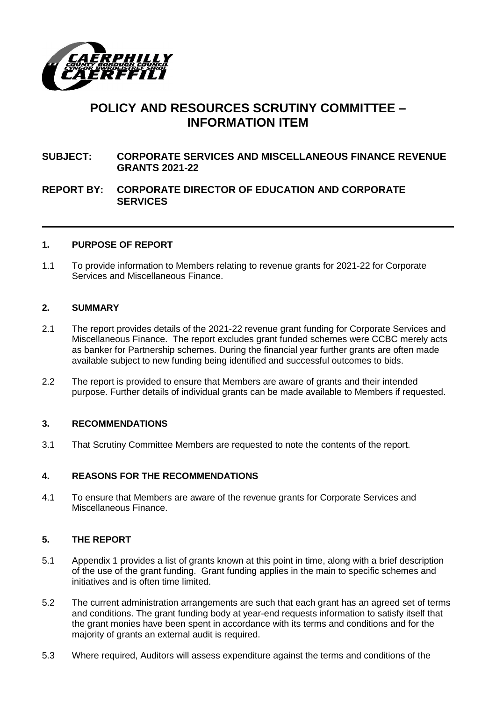

# **POLICY AND RESOURCES SCRUTINY COMMITTEE – INFORMATION ITEM**

# **SUBJECT: CORPORATE SERVICES AND MISCELLANEOUS FINANCE REVENUE GRANTS 2021-22**

## **REPORT BY: CORPORATE DIRECTOR OF EDUCATION AND CORPORATE SERVICES**

#### **1. PURPOSE OF REPORT**

1.1 To provide information to Members relating to revenue grants for 2021-22 for Corporate Services and Miscellaneous Finance.

#### **2. SUMMARY**

- 2.1 The report provides details of the 2021-22 revenue grant funding for Corporate Services and Miscellaneous Finance. The report excludes grant funded schemes were CCBC merely acts as banker for Partnership schemes. During the financial year further grants are often made available subject to new funding being identified and successful outcomes to bids.
- 2.2 The report is provided to ensure that Members are aware of grants and their intended purpose. Further details of individual grants can be made available to Members if requested.

## **3. RECOMMENDATIONS**

3.1 That Scrutiny Committee Members are requested to note the contents of the report.

#### **4. REASONS FOR THE RECOMMENDATIONS**

4.1 To ensure that Members are aware of the revenue grants for Corporate Services and Miscellaneous Finance.

## **5. THE REPORT**

- 5.1 Appendix 1 provides a list of grants known at this point in time, along with a brief description of the use of the grant funding. Grant funding applies in the main to specific schemes and initiatives and is often time limited.
- 5.2 The current administration arrangements are such that each grant has an agreed set of terms and conditions. The grant funding body at year-end requests information to satisfy itself that the grant monies have been spent in accordance with its terms and conditions and for the majority of grants an external audit is required.
- 5.3 Where required, Auditors will assess expenditure against the terms and conditions of the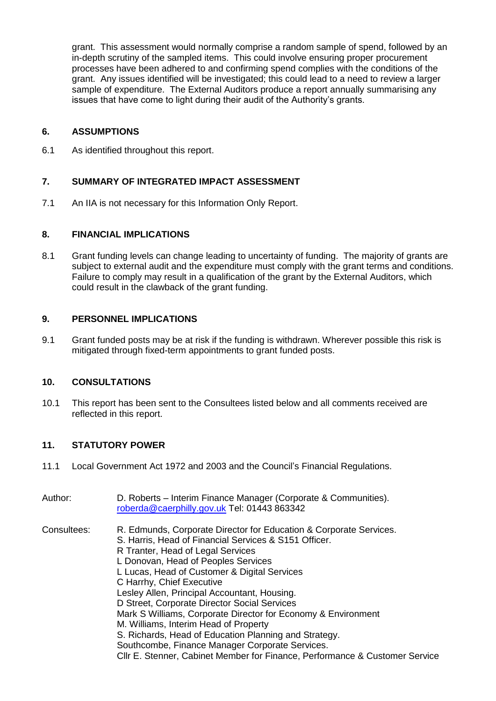grant. This assessment would normally comprise a random sample of spend, followed by an in-depth scrutiny of the sampled items. This could involve ensuring proper procurement processes have been adhered to and confirming spend complies with the conditions of the grant. Any issues identified will be investigated; this could lead to a need to review a larger sample of expenditure. The External Auditors produce a report annually summarising any issues that have come to light during their audit of the Authority's grants.

## **6. ASSUMPTIONS**

6.1 As identified throughout this report.

## **7. SUMMARY OF INTEGRATED IMPACT ASSESSMENT**

7.1 An IIA is not necessary for this Information Only Report.

## **8. FINANCIAL IMPLICATIONS**

8.1 Grant funding levels can change leading to uncertainty of funding. The majority of grants are subject to external audit and the expenditure must comply with the grant terms and conditions. Failure to comply may result in a qualification of the grant by the External Auditors, which could result in the clawback of the grant funding.

## **9. PERSONNEL IMPLICATIONS**

9.1 Grant funded posts may be at risk if the funding is withdrawn. Wherever possible this risk is mitigated through fixed-term appointments to grant funded posts.

## **10. CONSULTATIONS**

10.1 This report has been sent to the Consultees listed below and all comments received are reflected in this report.

# **11. STATUTORY POWER**

- 11.1 Local Government Act 1972 and 2003 and the Council's Financial Regulations.
- Author: D. Roberts Interim Finance Manager (Corporate & Communities). [roberda@caerphilly.gov.uk](mailto:roberda@caerphilly.gov.uk) Tel: 01443 863342 Consultees: R. Edmunds, Corporate Director for Education & Corporate Services. S. Harris, Head of Financial Services & S151 Officer. R Tranter, Head of Legal Services L Donovan, Head of Peoples Services L Lucas, Head of Customer & Digital Services C Harrhy, Chief Executive Lesley Allen, Principal Accountant, Housing. D Street, Corporate Director Social Services Mark S Williams, Corporate Director for Economy & Environment M. Williams, Interim Head of Property S. Richards, Head of Education Planning and Strategy. Southcombe, Finance Manager Corporate Services. Cllr E. Stenner, Cabinet Member for Finance, Performance & Customer Service